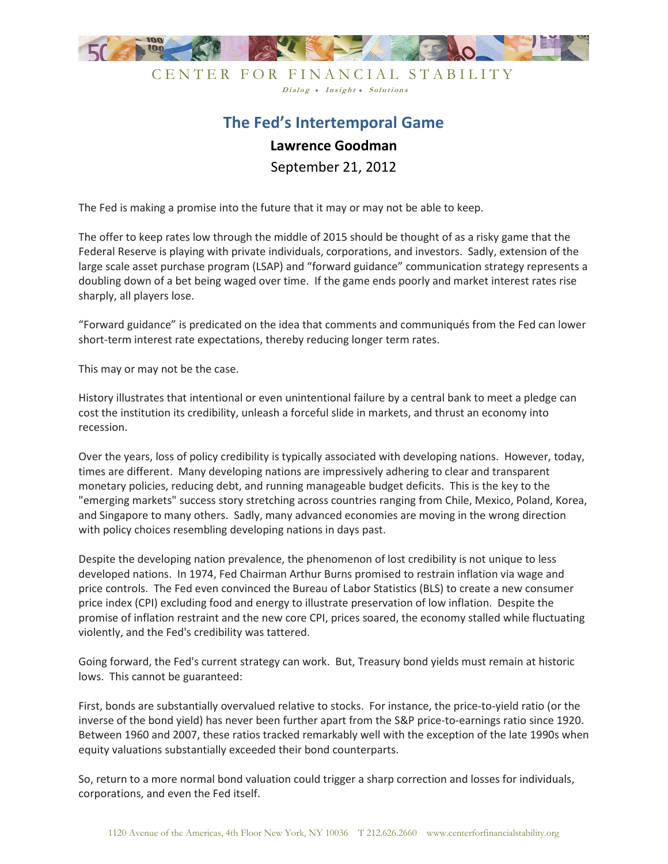

## CENTER FOR FINANCIAL STABILITY Dialog . Insight . Solutions

## **The Fed's Intertemporal Game Lawrence Goodman** September 21, 2012

The Fed is making a promise into the future that it may or may not be able to keep.

The offer to keep rates low through the middle of 2015 should be thought of as a risky game that the Federal Reserve is playing with private individuals, corporations, and investors. Sadly, extension of the large scale asset purchase program (LSAP) and "forward guidance" communication strategy represents a doubling down of a bet being waged over time. If the game ends poorly and market interest rates rise sharply, all players lose.

"Forward guidance" is predicated on the idea that comments and communiqués from the Fed can lower short-term interest rate expectations, thereby reducing longer term rates.

This may or may not be the case.

History illustrates that intentional or even unintentional failure by a central bank to meet a pledge can cost the institution its credibility, unleash a forceful slide in markets, and thrust an economy into recession.

Over the years, loss of policy credibility is typically associated with developing nations. However, today, times are different. Many developing nations are impressively adhering to clear and transparent monetary policies, reducing debt, and running manageable budget deficits. This is the key to the "emerging markets" success story stretching across countries ranging from Chile, Mexico, Poland, Korea, and Singapore to many others. Sadly, many advanced economies are moving in the wrong direction with policy choices resembling developing nations in days past.

Despite the developing nation prevalence, the phenomenon of lost credibility is not unique to less developed nations. In 1974, Fed Chairman Arthur Burns promised to restrain inflation via wage and price controls. The Fed even convinced the Bureau of Labor Statistics (BLS) to create a new consumer price index (CPI) excluding food and energy to illustrate preservation of low inflation. Despite the promise of inflation restraint and the new core CPI, prices soared, the economy stalled while fluctuating violently, and the Fed's credibility was tattered.

Going forward, the Fed's current strategy can work. But, Treasury bond yields must remain at historic lows. This cannot be guaranteed:

First, bonds are substantially overvalued relative to stocks. For instance, the price-to-yield ratio (or the inverse of the bond yield) has never been further apart from the S&P price-to-earnings ratio since 1920. Between 1960 and 2007, these ratios tracked remarkably well with the exception of the late 1990s when equity valuations substantially exceeded their bond counterparts.

So, return to a more normal bond valuation could trigger a sharp correction and losses for individuals, corporations, and even the Fed itself.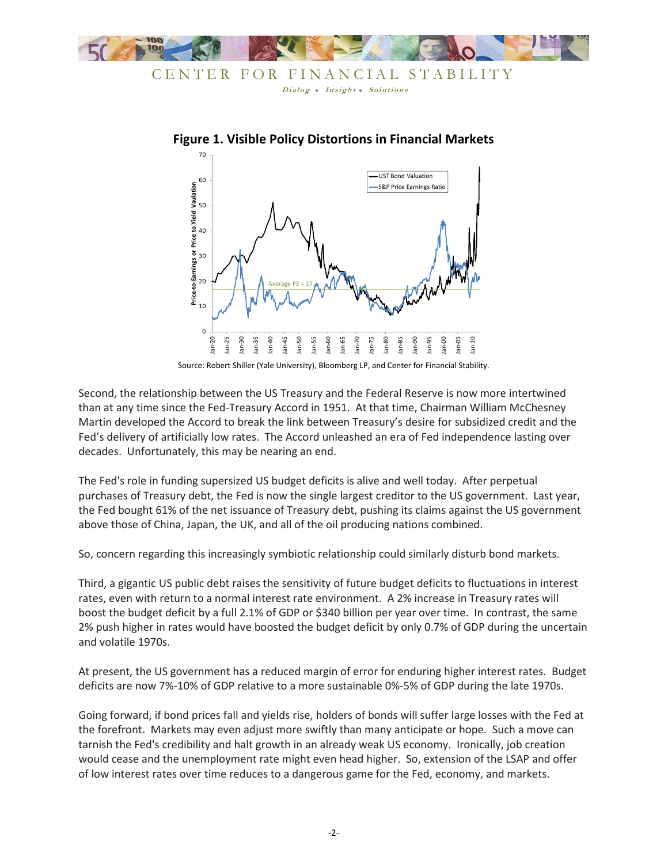



## **Figure 1. Visible Policy Distortions in Financial Markets**

Source: Robert Shiller (Yale University), Bloomberg LP, and Center for Financial Stability.

Second, the relationship between the US Treasury and the Federal Reserve is now more intertwined than at any time since the Fed-Treasury Accord in 1951. At that time, Chairman William McChesney Martin developed the Accord to break the link between Treasury's desire for subsidized credit and the Fed's delivery of artificially low rates. The Accord unleashed an era of Fed independence lasting over decades. Unfortunately, this may be nearing an end.

The Fed's role in funding supersized US budget deficits is alive and well today. After perpetual purchases of Treasury debt, the Fed is now the single largest creditor to the US government. Last year, the Fed bought 61% of the net issuance of Treasury debt, pushing its claims against the US government above those of China, Japan, the UK, and all of the oil producing nations combined.

So, concern regarding this increasingly symbiotic relationship could similarly disturb bond markets.

Third, a gigantic US public debt raises the sensitivity of future budget deficits to fluctuations in interest rates, even with return to a normal interest rate environment. A 2% increase in Treasury rates will boost the budget deficit by a full 2.1% of GDP or \$340 billion per year over time. In contrast, the same 2% push higher in rates would have boosted the budget deficit by only 0.7% of GDP during the uncertain and volatile 1970s.

At present, the US government has a reduced margin of error for enduring higher interest rates. Budget deficits are now 7%-10% of GDP relative to a more sustainable 0%-5% of GDP during the late 1970s.

Going forward, if bond prices fall and yields rise, holders of bonds will suffer large losses with the Fed at the forefront. Markets may even adjust more swiftly than many anticipate or hope. Such a move can tarnish the Fed's credibility and halt growth in an already weak US economy. Ironically, job creation would cease and the unemployment rate might even head higher. So, extension of the LSAP and offer of low interest rates over time reduces to a dangerous game for the Fed, economy, and markets.